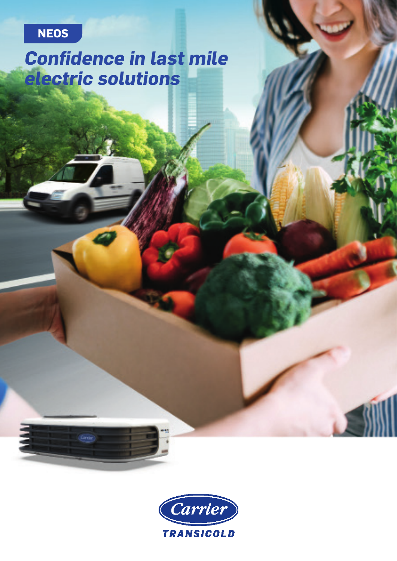## **NEOS**

# **Confidence in last mile electric solutions**

Cardin<sup>1</sup>

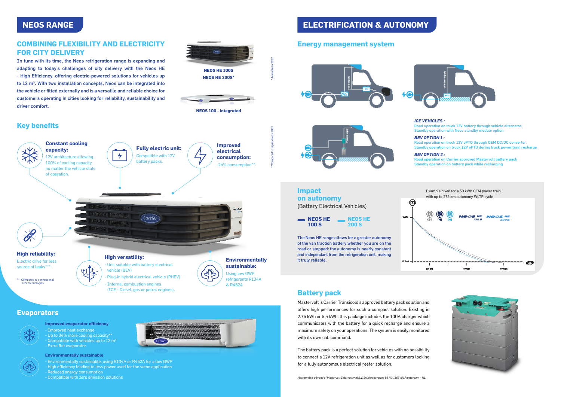#### **COMBINING FLEXIBILITY AND ELECTRICITY FOR CITY DELIVERY**

In tune with its time, the Neos refrigeration range is expanding and adapting to today's challenges of city delivery with the Neos HE - High Efficiency, offering electric-powered solutions for vehicles up to 12 m<sup>3</sup>. With two installation concepts, Neos can be integrated into the vehicle or fitted externally and is a versatile and reliable choice for customers operating in cities looking for reliability, sustainability and driver comfort.

**Improved evaporator efficiency**

- Improved heat exchange - Up to 34% more cooling capacity\*\* - Compatible with vehicles up to 12  $\mathrm{m}^{3}$ - Extra flat evaporator

#### **Environmentally sustainable**

Road operation on Carrier approved Mastervolt battery pack Standby operation on battery pack while recharging

- Environmentally sustainable, using R134A or R452A for a low GWP
- High efficiency leading to less power used for the same application
- Reduced energy consumption
- Compatible with zero emission solutions







\*Available in 2022



### **NEOS RANGE**

#### **Key benefits**

#### **Evaporators**



\*\*Compared to legacy Neos 100S

#### *ICE VEHICLES :*

Road operation on truck 12V battery through vehicle alternator. Standby operation with Neos standby module option

#### *BEV OPTION 1 :*

Road operation on truck 12V ePTO through OEM DC/DC converter. Standby operation on truck 12V ePTO during truck power train recharge

#### *BEV OPTION 2 :*

#### **Energy management system**



**Impact** 

The Neos HE range allows for a greater autonomy of the van traction battery whether you are on the road or stopped: the autonomy is nearly constant and independant from the refrigeration unit, making it truly reliable.

# **Battery pack**

### **on autonomy** (Battery Electrical Vehicles) **NEOS HE 100 S**

Mastervolt is Carrier Transicold's approved battery pack solution and offers high performances for such a compact solution. Existing in 2.75 kWh or 5.5 kWh, this package includes the 100A charger which communicates with the battery for a quick recharge and ensure a maximum safety on your operations. The system is easily monitored with its own cab command. The battery pack is a perfect solution for vehicles with no possibility

to connect a 12V refrigeration unit as well as for customers looking for a fully autonomous electrical reefer solution.





#### Example given for a 50 kWh OEM power train with up to 275 km autonomy WLTP cycle





*Mastervolt is a brand of Mastervolt International B.V. Snijdersbergweg 93 NL-1105 AN Amsterdam – NL*